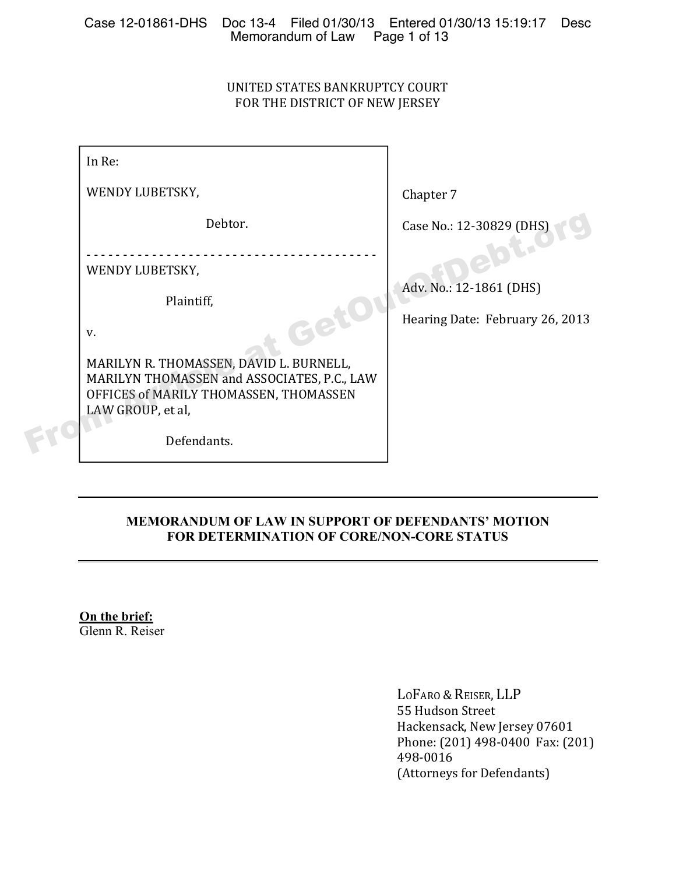## UNITED STATES BANKRUPTCY COURT FOR THE DISTRICT OF NEW JERSEY

| In Re:                                                                                                                                                                                                    |                                                            |
|-----------------------------------------------------------------------------------------------------------------------------------------------------------------------------------------------------------|------------------------------------------------------------|
| WENDY LUBETSKY,                                                                                                                                                                                           | Chapter 7                                                  |
| Debtor.                                                                                                                                                                                                   | Case No.: 12-30829 (DHS)                                   |
| WENDY LUBETSKY,<br>Plaintiff,<br><b>RG</b><br>V.<br>MARILYN R. THOMASSEN, DAVID L. BURNELL,<br>MARILYN THOMASSEN and ASSOCIATES, P.C., LAW<br>OFFICES of MARILY THOMASSEN, THOMASSEN<br>LAW GROUP, et al, | Adv. No.: 12-1861 (DHS)<br>Hearing Date: February 26, 2013 |
| Defendants.                                                                                                                                                                                               |                                                            |

## **MEMORANDUM OF LAW IN SUPPORT OF DEFENDANTS' MOTION FOR DETERMINATION OF CORE/NON-CORE STATUS**

**On the brief:**  Glenn R. Reiser

> LOFARO & REISER, LLP 55 Hudson Street Hackensack, New Jersey 07601 Phone: (201) 498-0400 Fax: (201) 498-0016 (Attorneys for Defendants)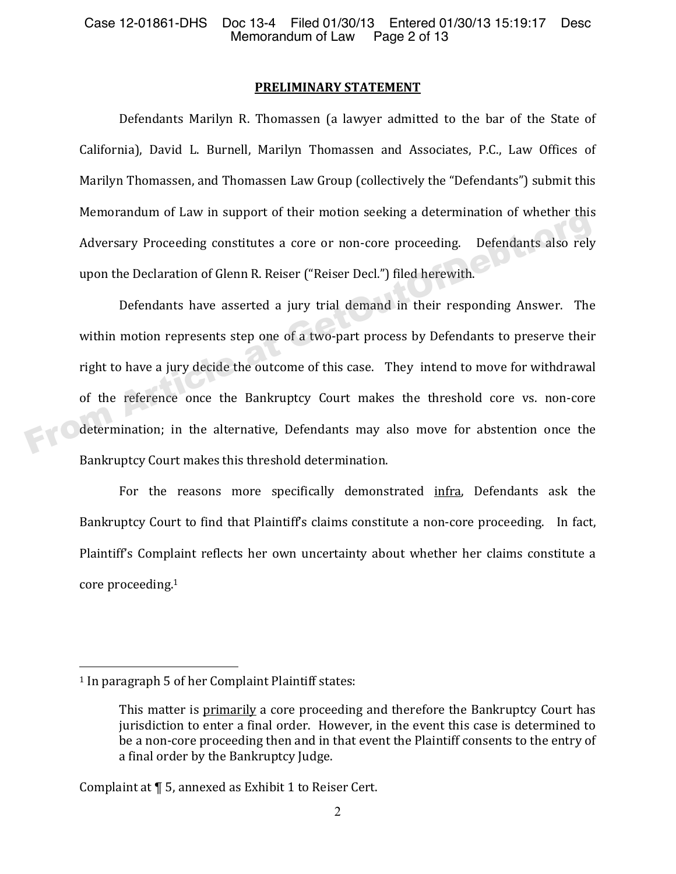#### **PRELIMINARY STATEMENT**

Defendants Marilyn R. Thomassen (a lawyer admitted to the bar of the State of California), David L. Burnell, Marilyn Thomassen and Associates, P.C., Law Offices of Marilyn Thomassen, and Thomassen Law Group (collectively the "Defendants") submit this Memorandum of Law in support of their motion seeking a determination of whether this Adversary Proceeding constitutes a core or non-core proceeding. Defendants also rely upon the Declaration of Glenn R. Reiser ("Reiser Decl.") filed herewith.

Defendants have asserted a jury trial demand in their responding Answer. The within motion represents step one of a two-part process by Defendants to preserve their right to have a jury decide the outcome of this case. They intend to move for withdrawal of the reference once the Bankruptcy Court makes the threshold core vs. non-core determination; in the alternative, Defendants may also move for abstention once the Bankruptcy Court makes this threshold determination. Adversary Proceeding constitutes a core or non-core proceeding. Defendants also rely<br>
upon the Declaration of Glenn R. Reiser ("Reiser Decl.") filed herewith.<br>
Defendants have asserted a jury trial demand in their respondi

For the reasons more specifically demonstrated infra, Defendants ask the Bankruptcy Court to find that Plaintiff's claims constitute a non-core proceeding. In fact, Plaintiff's Complaint reflects her own uncertainty about whether her claims constitute a core proceeding.<sup>1</sup>

l.

Complaint at ¶ 5, annexed as Exhibit 1 to Reiser Cert.

<sup>&</sup>lt;sup>1</sup> In paragraph 5 of her Complaint Plaintiff states:

This matter is primarily a core proceeding and therefore the Bankruptcy Court has jurisdiction to enter a final order. However, in the event this case is determined to be a non-core proceeding then and in that event the Plaintiff consents to the entry of a final order by the Bankruptcy Judge.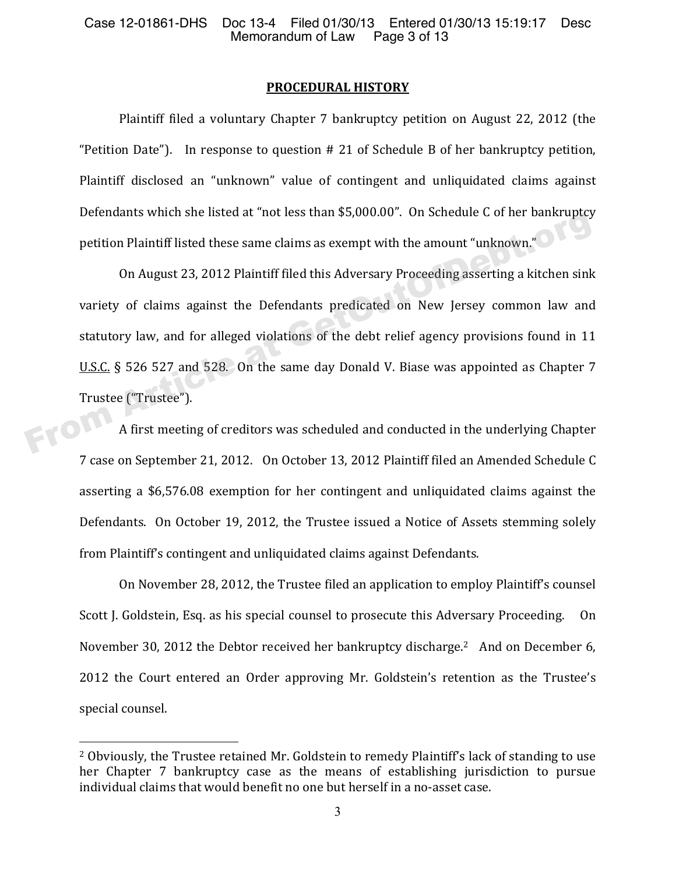#### **PROCEDURAL HISTORY**

Plaintiff filed a voluntary Chapter 7 bankruptcy petition on August 22, 2012 (the "Petition Date"). In response to question  $# 21$  of Schedule B of her bankruptcy petition, Plaintiff disclosed an "unknown" value of contingent and unliquidated claims against Defendants which she listed at "not less than \$5,000.00". On Schedule C of her bankruptcy petition Plaintiff listed these same claims as exempt with the amount "unknown."

On August 23, 2012 Plaintiff filed this Adversary Proceeding asserting a kitchen sink variety of claims against the Defendants predicated on New Jersey common law and statutory law, and for alleged violations of the debt relief agency provisions found in 11 U.S.C. § 526 527 and 528. On the same day Donald V. Biase was appointed as Chapter 7 Detention Plaintiff listed at not less than 3,5,000.00 . On schedule C of her bankruptcy<br>petition Plaintiff listed these same claims as exempt with the amount "unknown."<br>On August 23, 2012 Plaintiff filed this Adversary Pr

Trustee ("Trustee").<br>A first meeting A first meeting of creditors was scheduled and conducted in the underlying Chapter 7 case on September 21, 2012. On October 13, 2012 Plaintiff filed an Amended Schedule C asserting a \$6,576.08 exemption for her contingent and unliquidated claims against the Defendants. On October 19, 2012, the Trustee issued a Notice of Assets stemming solely from Plaintiff's contingent and unliquidated claims against Defendants.

On November 28, 2012, the Trustee filed an application to employ Plaintiff's counsel Scott J. Goldstein, Esq. as his special counsel to prosecute this Adversary Proceeding. On November 30, 2012 the Debtor received her bankruptcy discharge.<sup>2</sup> And on December 6, 2012 the Court entered an Order approving Mr. Goldstein's retention as the Trustee's special counsel.

 $\overline{a}$ 

<sup>&</sup>lt;sup>2</sup> Obviously, the Trustee retained Mr. Goldstein to remedy Plaintiff's lack of standing to use her Chapter 7 bankruptcy case as the means of establishing jurisdiction to pursue individual claims that would benefit no one but herself in a no-asset case.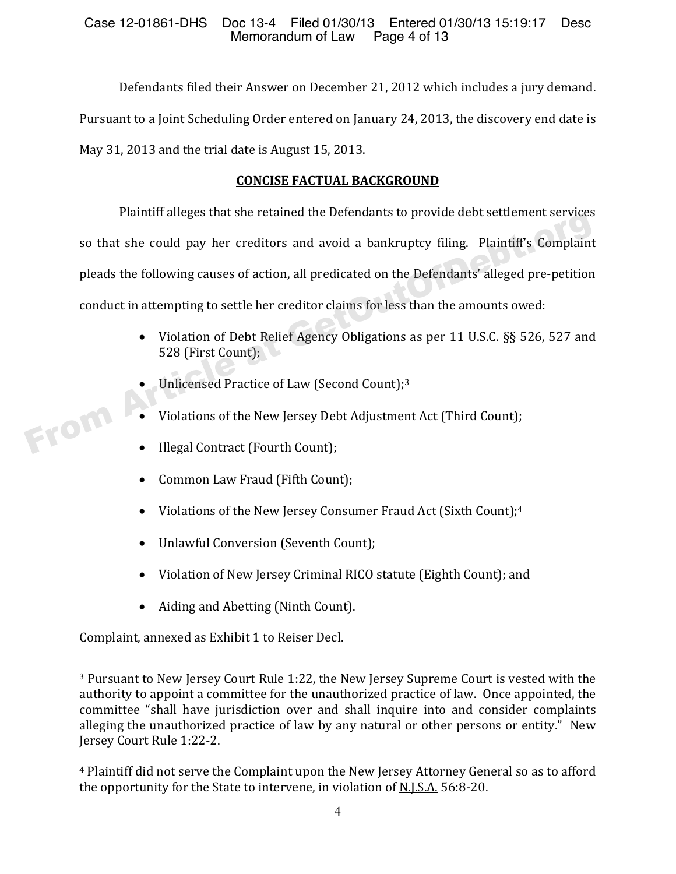Defendants filed their Answer on December 21, 2012 which includes a jury demand. Pursuant to a Joint Scheduling Order entered on January 24, 2013, the discovery end date is May 31, 2013 and the trial date is August 15, 2013.

# **CONCISE FACTUAL BACKGROUND**

Plaintiff alleges that she retained the Defendants to provide debt settlement services so that she could pay her creditors and avoid a bankruptcy filing. Plaintiff's Complaint pleads the following causes of action, all predicated on the Defendants' alleged pre-petition conduct in attempting to settle her creditor claims for less than the amounts owed: Framin aneges that she retained the Defendants to provide debt settlement services<br>so that she could pay her creditors and avoid a bankruptcy filing. Plaintiff's Complaint<br>pleads the following causes of action, all predica

- Violation of Debt Relief Agency Obligations as per 11 U.S.C. §§ 526, 527 and 528 (First Count);
- Unlicensed Practice of Law (Second Count);<sup>3</sup>
- Violations of the New Jersey Debt Adjustment Act (Third Count);
- Illegal Contract (Fourth Count);
- Common Law Fraud (Fifth Count);
- Violations of the New Jersey Consumer Fraud Act (Sixth Count);<sup>4</sup>
- Unlawful Conversion (Seventh Count);
- Violation of New Jersey Criminal RICO statute (Eighth Count); and
- Aiding and Abetting (Ninth Count).

Complaint, annexed as Exhibit 1 to Reiser Decl.

.

<sup>&</sup>lt;sup>3</sup> Pursuant to New Jersey Court Rule 1:22, the New Jersey Supreme Court is vested with the authority to appoint a committee for the unauthorized practice of law. Once appointed, the committee "shall have jurisdiction over and shall inquire into and consider complaints alleging the unauthorized practice of law by any natural or other persons or entity." New Jersey Court Rule 1:22-2.

<sup>&</sup>lt;sup>4</sup> Plaintiff did not serve the Complaint upon the New Jersey Attorney General so as to afford the opportunity for the State to intervene, in violation of N.J.S.A. 56:8-20.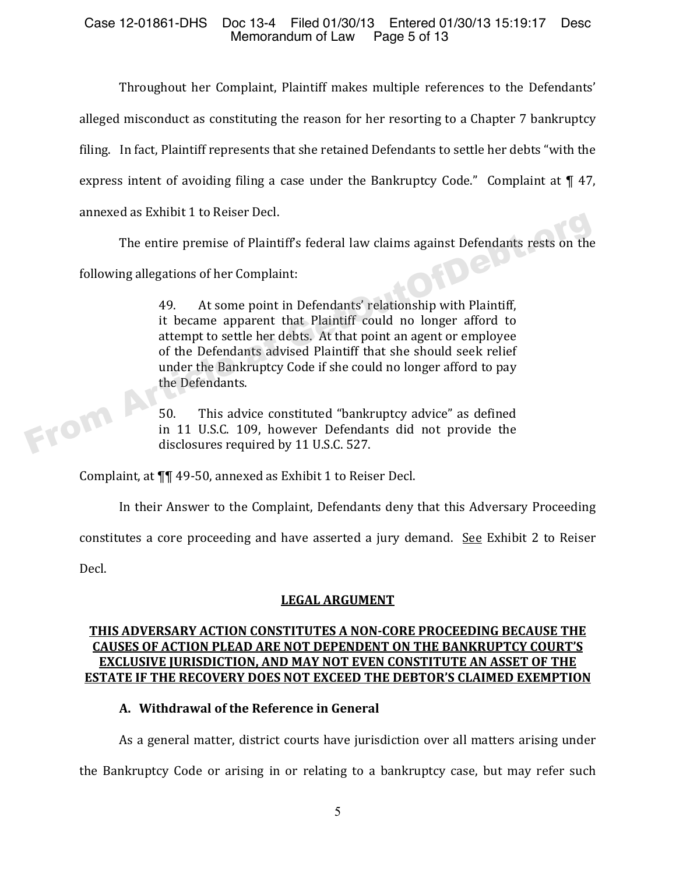## Case 12-01861-DHS Doc 13-4 Filed 01/30/13 Entered 01/30/13 15:19:17 Desc<br>Memorandum of Law Page 5 of 13 Memorandum of Law

Throughout her Complaint, Plaintiff makes multiple references to the Defendants' alleged misconduct as constituting the reason for her resorting to a Chapter 7 bankruptcy filing. In fact, Plaintiff represents that she retained Defendants to settle her debts "with the express intent of avoiding filing a case under the Bankruptcy Code." Complaint at  $\P$  47, annexed as Exhibit 1 to Reiser Decl.

The entire premise of Plaintiff's federal law claims against Defendants rests on the

following allegations of her Complaint:

49. At some point in Defendants' relationship with Plaintiff, it became apparent that Plaintiff could no longer afford to attempt to settle her debts. At that point an agent or employee of the Defendants advised Plaintiff that she should seek relief under the Bankruptcy Code if she could no longer afford to pay the Defendants. The entire premise of Plaintiff's federal law claims against Defendants rests on the<br>following allegations of her Complaint:<br>49. At some point in Defendants' relationship with Plaintiff,<br>it became apparent that Plaintiff c

50. This advice constituted "bankruptcy advice" as defined in 11 U.S.C. 109, however Defendants did not provide the disclosures required by 11 U.S.C. 527.

Complaint, at ¶¶ 49-50, annexed as Exhibit 1 to Reiser Decl.

In their Answer to the Complaint, Defendants deny that this Adversary Proceeding

constitutes a core proceeding and have asserted a jury demand. See Exhibit 2 to Reiser

Decl.

# **LEGAL ARGUMENT**

## **THIS ADVERSARY ACTION CONSTITUTES A NONǦCORE PROCEEDING BECAUSE THE CAUSES OF ACTION PLEAD ARE NOT DEPENDENT ON THE BANKRUPTCY COURT'S EXCLUSIVE JURISDICTION, AND MAY NOT EVEN CONSTITUTE AN ASSET OF THE ESTATE IF THE RECOVERY DOES NOT EXCEED THE DEBTOR'S CLAIMED EXEMPTION**

# **A. Withdrawal of the Reference in General**

As a general matter, district courts have jurisdiction over all matters arising under the Bankruptcy Code or arising in or relating to a bankruptcy case, but may refer such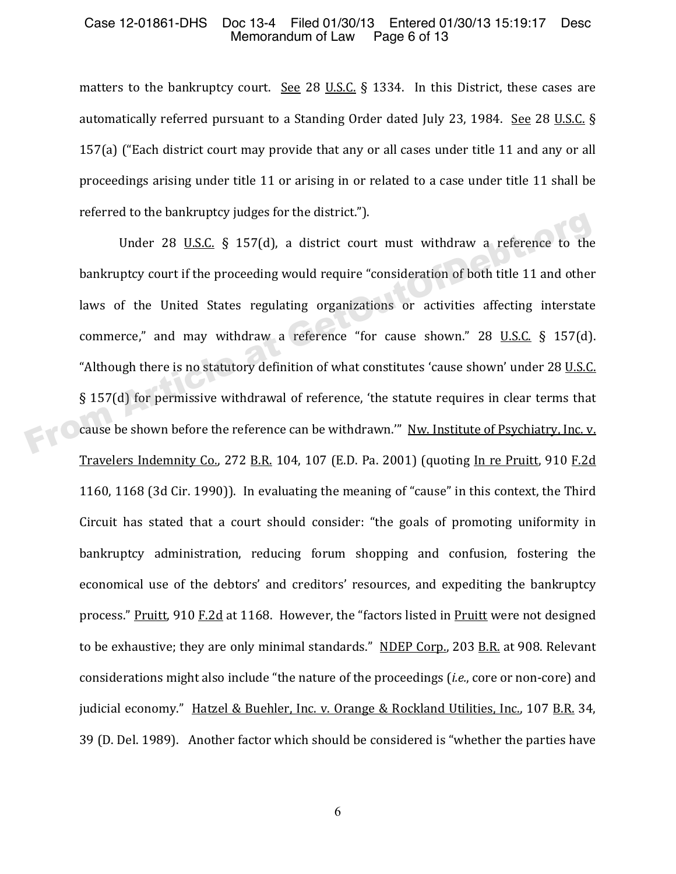### Case 12-01861-DHS Doc 13-4 Filed 01/30/13 Entered 01/30/13 15:19:17 Desc<br>Memorandum of Law Page 6 of 13 Memorandum of Law

matters to the bankruptcy court. See 28 U.S.C.  $\S$  1334. In this District, these cases are automatically referred pursuant to a Standing Order dated July 23, 1984. See 28 U.S.C.  $\S$ 157(a) ("Each district court may provide that any or all cases under title 11 and any or all proceedings arising under title 11 or arising in or related to a case under title 11 shall be referred to the bankruptcy judges for the district.").

Under 28 U.S.C. § 157(d), a district court must withdraw a reference to the bankruptcy court if the proceeding would require "consideration of both title 11 and other laws of the United States regulating organizations or activities affecting interstate commerce," and may withdraw a reference "for cause shown."  $28$  U.S.C. § 157(d). "Although there is no statutory definition of what constitutes 'cause shown' under 28 U.S.C. § 157(d) for permissive withdrawal of reference, 'the statute requires in clear terms that cause be shown before the reference can be withdrawn." Nw. Institute of Psychiatry, Inc. v. Travelers Indemnity Co., 272 B.R. 104, 107 (E.D. Pa. 2001) (quoting In re Pruitt, 910 F.2d 1160, 1168 (3d Cir. 1990)). In evaluating the meaning of "cause" in this context, the Third Circuit has stated that a court should consider: "the goals of promoting uniformity in bankruptcy administration, reducing forum shopping and confusion, fostering the economical use of the debtors' and creditors' resources, and expediting the bankruptcy process." Pruitt, 910 F.2d at 1168. However, the "factors listed in Pruitt were not designed to be exhaustive; they are only minimal standards." NDEP Corp., 203 B.R. at 908. Relevant considerations might also include "the nature of the proceedings (*i.e.*, core or non-core) and judicial economy." Hatzel & Buehler, Inc. v. Orange & Rockland Utilities, Inc., 107 B.R. 34, 39 (D. Del. 1989). Another factor which should be considered is "whether the parties have Under 28 <u>U.S.C.</u> § 157(d), a district court must withdraw a reference to the<br>bankruptcy court if the proceeding would require "consideration of both title 11 and other<br>laws of the United States regulating organizations or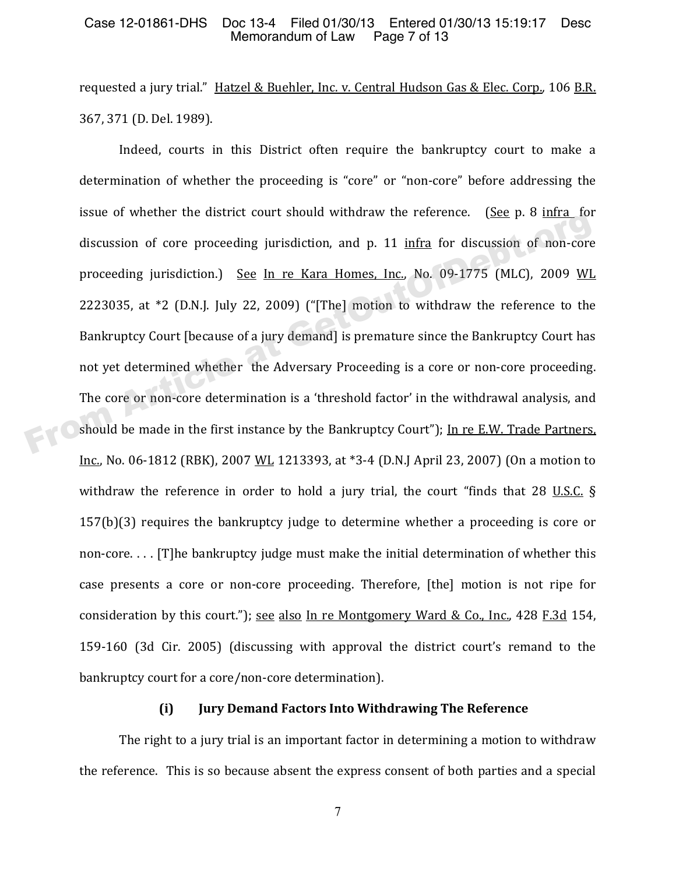requested a jury trial." <u>Hatzel & Buehler, Inc. v. Central Hudson Gas & Elec. Corp.</u>, 106 <u>B.R.</u> 367, 371 (D. Del. 1989).

Indeed, courts in this District often require the bankruptcy court to make a determination of whether the proceeding is "core" or "non-core" before addressing the issue of whether the district court should withdraw the reference. (See  $p. 8$  infra for discussion of core proceeding jurisdiction, and p. 11 infra for discussion of non-core proceeding jurisdiction.) See In re Kara Homes, Inc., No. 09-1775 (MLC), 2009 WL 2223035, at  $*2$  (D.N.J. July 22, 2009) ("[The] motion to withdraw the reference to the Bankruptcy Court [because of a jury demand] is premature since the Bankruptcy Court has not yet determined whether the Adversary Proceeding is a core or non-core proceeding. The core or non-core determination is a 'threshold factor' in the withdrawal analysis, and should be made in the first instance by the Bankruptcy Court"); In re E.W. Trade Partners, Inc., No. 06-1812 (RBK), 2007 WL 1213393, at \*3-4 (D.N.J April 23, 2007) (On a motion to withdraw the reference in order to hold a jury trial, the court "finds that 28 U.S.C.  $\S$ 157(b)(3) requires the bankruptcy judge to determine whether a proceeding is core or non-core.... [The bankruptcy judge must make the initial determination of whether this case presents a core or non-core proceeding. Therefore, [the] motion is not ripe for consideration by this court."); see also In re Montgomery Ward & Co., Inc., 428 F.3d 154, 159-160 (3d Cir. 2005) (discussing with approval the district court's remand to the bankruptcy court for a core/non-core determination). discussion of core proceeding jurisdiction, and p. 11 infra for discussion of non-core<br>proceeding jurisdiction.) See In re Kara Homes. Inc., No. 09-1775 (MLC), 2009 WI<br>2223035, at \*2 (D.N.J. July 22, 2009) ("[The] motion

### **(i) Jury Demand Factors Into Withdrawing The Reference**

The right to a jury trial is an important factor in determining a motion to withdraw the reference. This is so because absent the express consent of both parties and a special

7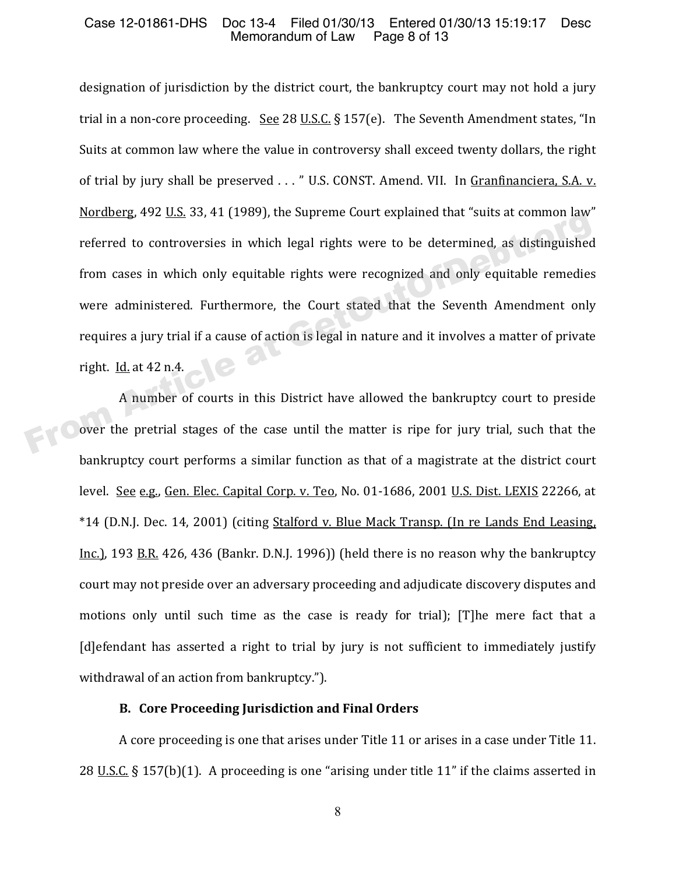designation of jurisdiction by the district court, the bankruptcy court may not hold a jury trial in a non-core proceeding. See 28 U.S.C. § 157(e). The Seventh Amendment states, "In Suits at common law where the value in controversy shall exceed twenty dollars, the right of trial by jury shall be preserved . . . " U.S. CONST. Amend. VII. In <u>Granfinanciera, S.A. v.</u> Nordberg, 492 U.S. 33, 41 (1989), the Supreme Court explained that "suits at common law" referred to controversies in which legal rights were to be determined, as distinguished from cases in which only equitable rights were recognized and only equitable remedies were administered. Furthermore, the Court stated that the Seventh Amendment only requires a jury trial if a cause of action is legal in nature and it involves a matter of private right. Id. at 42 n.4. From Cases in which only equitable rights were to be determined, as distinguished<br>from cases in which only equitable rights were recognized and only equitable remedies<br>were administered. Furthermore, the Court stated that

A number of courts in this District have allowed the bankruptcy court to preside over the pretrial stages of the case until the matter is ripe for jury trial, such that the bankruptcy court performs a similar function as that of a magistrate at the district court level. <u>See e.g., Gen. Elec. Capital Corp. v. Teo</u>, No. 01-1686, 2001 <u>U.S. Dist. LEXIS</u> 22266, at \*14 (D.N.J. Dec. 14, 2001) (citing Stalford v. Blue Mack Transp. (In re Lands End Leasing, Inc.), 193 B.R. 426, 436 (Bankr, D.N.I. 1996)) (held there is no reason why the bankruptcy court may not preside over an adversary proceeding and adjudicate discovery disputes and motions only until such time as the case is ready for trial); [T]he mere fact that a [d] efendant has asserted a right to trial by jury is not sufficient to immediately justify withdrawal of an action from bankruptcy.").

### **B. Core Proceeding Jurisdiction and Final Orders**

A core proceeding is one that arises under Title 11 or arises in a case under Title 11. 28 U.S.C. § 157(b)(1). A proceeding is one "arising under title 11" if the claims asserted in

8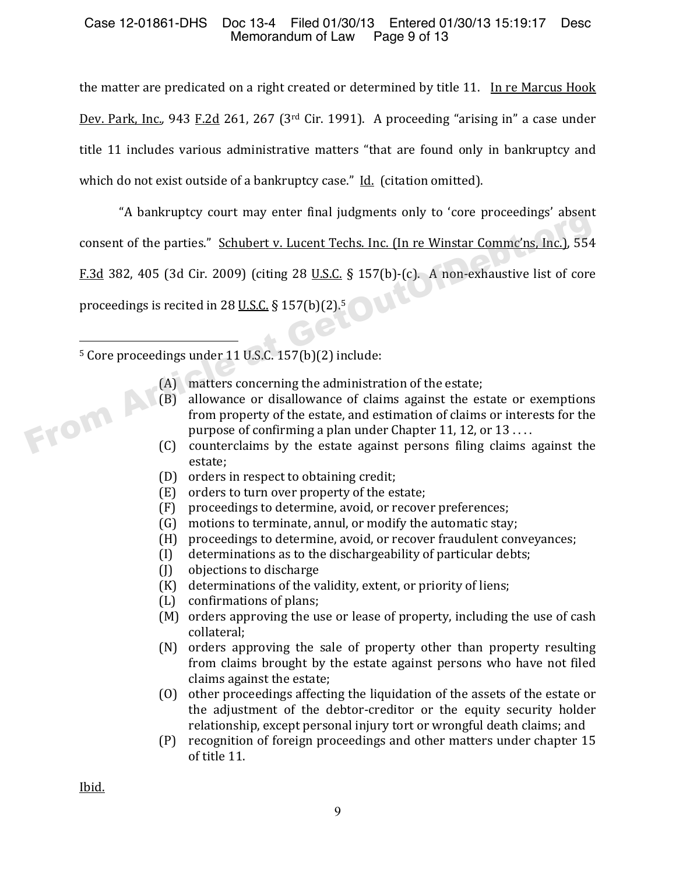## Case 12-01861-DHS Doc 13-4 Filed 01/30/13 Entered 01/30/13 15:19:17 Desc<br>Memorandum of Law Page 9 of 13 Memorandum of Law

the matter are predicated on a right created or determined by title 11. In re Marcus Hook <u>Dev. Park, Inc.</u>, 943 F.2d 261, 267 (3<sup>rd</sup> Cir. 1991). A proceeding "arising in" a case under title 11 includes various administrative matters "that are found only in bankruptcy and which do not exist outside of a bankruptcy case." Id. (citation omitted).

"A bankruptcy court may enter final judgments only to 'core proceedings' absent consent of the parties." Schubert v. Lucent Techs. Inc. (In re Winstar Commc'ns, Inc.), 554  $F.3d$  382, 405 (3d Cir. 2009) (citing 28 U.S.C. § 157(b)-(c). A non-exhaustive list of core proceedings is recited in 28 U.S.C. § 157(b)(2).<sup>5</sup> F.3d 382, 405 (3d Cir. 2009) (citing 28 U.S.C. § 157(b)-(c). A non-exhaustive list of core<br>proceedings is recited in 28 U.S.C. § 157(b)-(c). A non-exhaustive list of core<br>proceedings is recited in 28 U.S.C. § 157(b)(2).<sup>5</sup>

 $5$  Core proceedings under 11 U.S.C.  $157(b)(2)$  include:

- (A) matters concerning the administration of the estate;
- (B) allowance or disallowance of claims against the estate or exemptions from property of the estate, and estimation of claims or interests for the purpose of confirming a plan under Chapter 11, 12, or  $13...$
- (C) counterclaims by the estate against persons filing claims against the estate;
- (D) orders in respect to obtaining credit;
- (E) orders to turn over property of the estate;
- (F) proceedings to determine, avoid, or recover preferences;
- (G) motions to terminate, annul, or modify the automatic stay;
- 
- (H) proceedings to determine, avoid, or recover fraudulent conveyances;<br>(I) determinations as to the dischargeability of particular debts; (I) determinations as to the dischargeability of particular debts;<br>(J) objections to discharge
- objections to discharge
- (K) determinations of the validity, extent, or priority of liens;<br>(L) confirmations of plans;
- confirmations of plans;
- (M) orders approving the use or lease of property, including the use of cash collateral:
- (N) orders approving the sale of property other than property resulting from claims brought by the estate against persons who have not filed claims against the estate;
- (0) other proceedings affecting the liquidation of the assets of the estate or the adjustment of the debtor-creditor or the equity security holder relationship, except personal injury tort or wrongful death claims; and
- (P) recognition of foreign proceedings and other matters under chapter 15 of title 11.

Ibid.

l.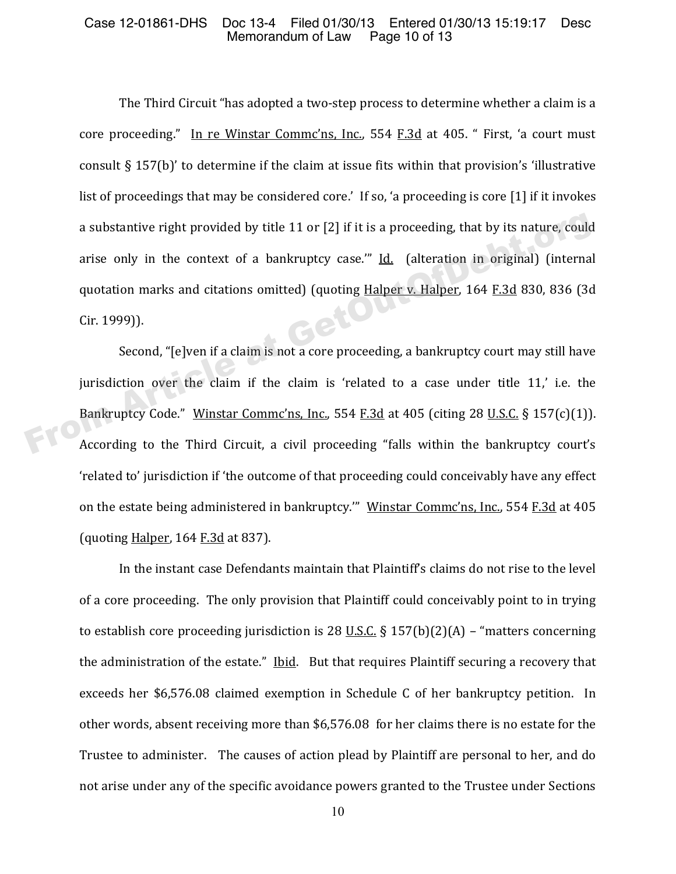The Third Circuit "has adopted a two-step process to determine whether a claim is a core proceeding." In re Winstar Commc'ns, Inc., 554 F.3d at 405. " First, 'a court must consult  $\S$  157(b)' to determine if the claim at issue fits within that provision's 'illustrative list of proceedings that may be considered core.' If so, 'a proceeding is core [1] if it invokes a substantive right provided by title 11 or [2] if it is a proceeding, that by its nature, could arise only in the context of a bankruptcy case.""  $Id.$  (alteration in original) (internal quotation marks and citations omitted) (quoting Halper v. Halper, 164 F.3d 830, 836 (3d  $Cir. 1999$ )). a substantive right provided by title 11 or [2] if it is a proceeding, that by its nature, could<br>arise only in the context of a bankruptcy case." <u>Id.</u> (alteration in original) (internal<br>quotation marks and citations omit

Second, "[e]ven if a claim is not a core proceeding, a bankruptcy court may still have jurisdiction over the claim if the claim is 'related to a case under title 11,' i.e. the Bankruptcy Code." Winstar Commc'ns, Inc., 554 F.3d at 405 (citing 28 U.S.C. § 157(c)(1)). According to the Third Circuit, a civil proceeding "falls within the bankruptcy court's 'related to' jurisdiction if 'the outcome of that proceeding could conceivably have any effect on the estate being administered in bankruptcy."" Winstar Commc'ns, Inc., 554 F.3d at 405 (quoting  $\frac{\text{Halper}}{\text{Alper}}$ , 164  $\frac{\text{F.3d}}{\text{Alper}}$  at 837).

In the instant case Defendants maintain that Plaintiff's claims do not rise to the level of a core proceeding. The only provision that Plaintiff could conceivably point to in trying to establish core proceeding jurisdiction is 28 U.S.C.  $\S$  157(b)(2)(A) – "matters concerning the administration of the estate." Ibid. But that requires Plaintiff securing a recovery that exceeds her \$6,576.08 claimed exemption in Schedule C of her bankruptcy petition. In other words, absent receiving more than \$6,576.08 for her claims there is no estate for the Trustee to administer. The causes of action plead by Plaintiff are personal to her, and do not arise under any of the specific avoidance powers granted to the Trustee under Sections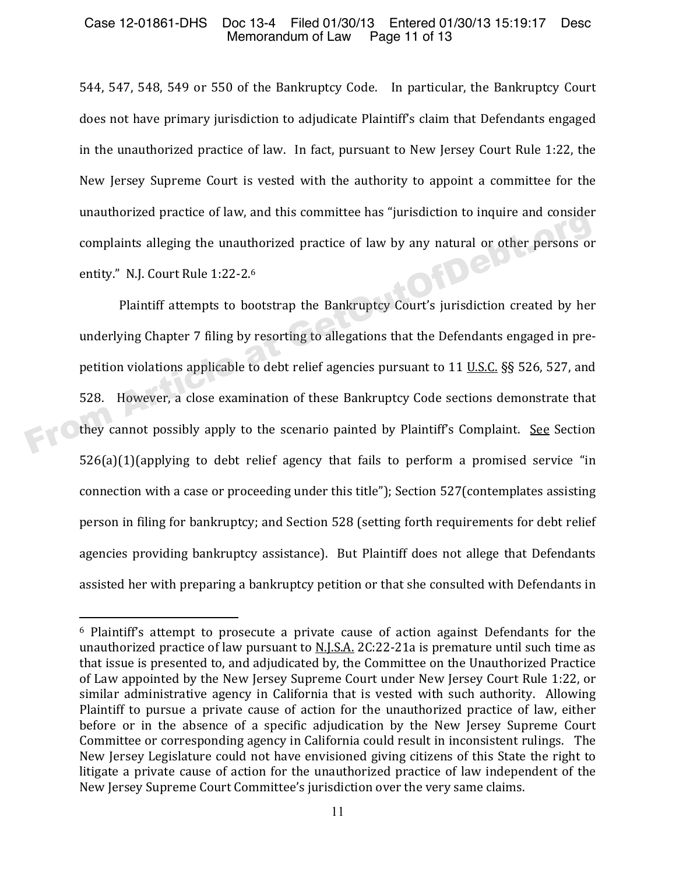### Case 12-01861-DHS Doc 13-4 Filed 01/30/13 Entered 01/30/13 15:19:17 Desc<br>Memorandum of Law Page 11 of 13 Memorandum of Law

544, 547, 548, 549 or 550 of the Bankruptcy Code. In particular, the Bankruptcy Court does not have primary jurisdiction to adjudicate Plaintiff's claim that Defendants engaged in the unauthorized practice of law. In fact, pursuant to New Jersey Court Rule 1:22, the New Jersey Supreme Court is vested with the authority to appoint a committee for the unauthorized practice of law, and this committee has "jurisdiction to inquire and consider complaints alleging the unauthorized practice of law by any natural or other persons or entity." N.J. Court Rule 1:22-2.6

Plaintiff attempts to bootstrap the Bankruptcy Court's jurisdiction created by her underlying Chapter 7 filing by resorting to allegations that the Defendants engaged in prepetition violations applicable to debt relief agencies pursuant to 11 U.S.C. §§ 526, 527, and 528. However, a close examination of these Bankruptcy Code sections demonstrate that they cannot possibly apply to the scenario painted by Plaintiff's Complaint. See Section  $526(a)(1)$  (applying to debt relief agency that fails to perform a promised service "in connection with a case or proceeding under this title"); Section 527(contemplates assisting person in filing for bankruptcy; and Section 528 (setting forth requirements for debt relief agencies providing bankruptcy assistance). But Plaintiff does not allege that Defendants assisted her with preparing a bankruptcy petition or that she consulted with Defendants in complaints alleging the unauthorized practice of law by any natural or other persons of entity." N.J. Court Rule 1:22-2.<sup>6</sup><br>Plaintiff attempts to bootstrap the Bankruptcy Court's jurisdiction created by her underlying Chap

.

<sup>&</sup>lt;sup>6</sup> Plaintiff's attempt to prosecute a private cause of action against Defendants for the unauthorized practice of law pursuant to N.J.S.A. 2C:22-21a is premature until such time as that issue is presented to, and adjudicated by, the Committee on the Unauthorized Practice of Law appointed by the New Jersey Supreme Court under New Jersey Court Rule 1:22, or similar administrative agency in California that is vested with such authority. Allowing Plaintiff to pursue a private cause of action for the unauthorized practice of law, either before or in the absence of a specific adjudication by the New Jersey Supreme Court Committee or corresponding agency in California could result in inconsistent rulings. The New Jersey Legislature could not have envisioned giving citizens of this State the right to litigate a private cause of action for the unauthorized practice of law independent of the New Jersey Supreme Court Committee's jurisdiction over the very same claims.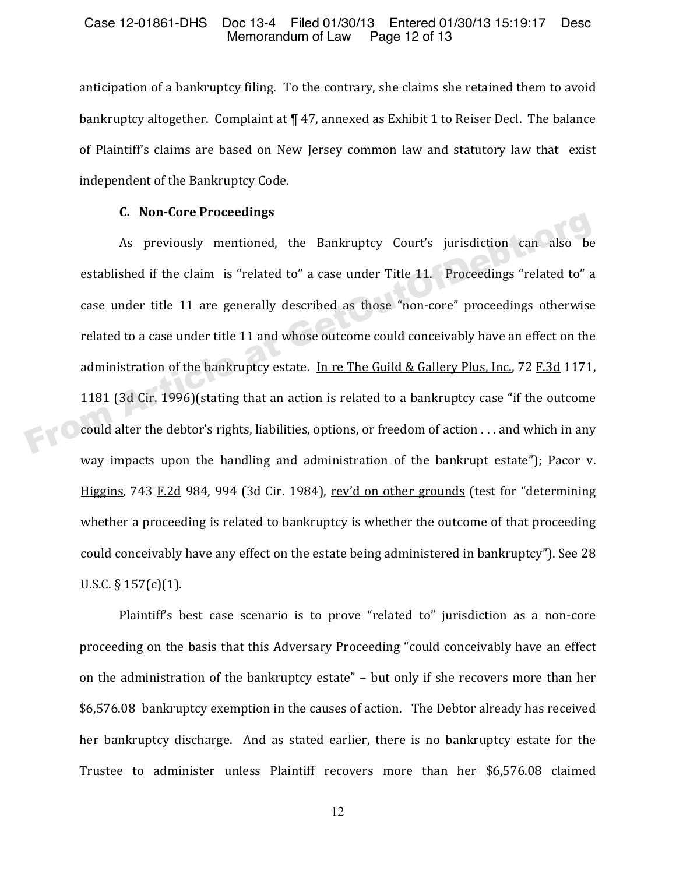anticipation of a bankruptcy filing. To the contrary, she claims she retained them to avoid bankruptcy altogether. Complaint at 147, annexed as Exhibit 1 to Reiser Decl. The balance of Plaintiff's claims are based on New Jersey common law and statutory law that exist independent of the Bankruptcy Code.

#### **C. NonǦCore Proceedings**

As previously mentioned, the Bankruptcy Court's jurisdiction can also established if the claim is "related to" a case under Title 11. Proceedings "related to" a case under title 11 are generally described as those "non-core" proceedings otherwise related to a case under title 11 and whose outcome could conceivably have an effect on the administration of the bankruptcy estate. <u>In re The Guild & Gallery Plus, Inc.</u>, 72 <u>F.3d</u> 1171, 1181 (3d Cir. 1996) (stating that an action is related to a bankruptcy case "if the outcome could alter the debtor's rights, liabilities, options, or freedom of action . . . and which in any way impacts upon the handling and administration of the bankrupt estate"); Pacor v. Higgins, 743 F.2d 984, 994 (3d Cir. 1984), rev'd on other grounds (test for "determining whether a proceeding is related to bankruptcy is whether the outcome of that proceeding could conceivably have any effect on the estate being administered in bankruptcy"). See 28  $U.S.C.$  § 157(c)(1). E. Non-Core Troceedings<br>As previously mentioned, the Bankruptcy Court's jurisdiction can also be<br>established if the claim is "related to" a case under Title 11. Proceedings "related to" a<br>case under title 11 are generally

Plaintiff's best case scenario is to prove "related to" jurisdiction as a non-core proceeding on the basis that this Adversary Proceeding "could conceivably have an effect on the administration of the bankruptcy estate" - but only if she recovers more than her  $$6,576.08$  bankruptcy exemption in the causes of action. The Debtor already has received her bankruptcy discharge. And as stated earlier, there is no bankruptcy estate for the Trustee to administer unless Plaintiff recovers more than her \$6,576.08 claimed

12